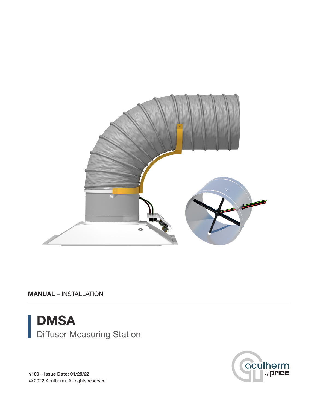

MANUAL – INSTALLATION





v100 – Issue Date: 01/25/22 © 2022 Acutherm. All rights reserved.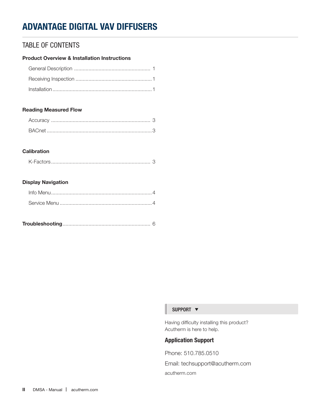## TABLE OF CONTENTS

### Product Overview & Installation Instructions

### Reading Measured Flow

### **Calibration**

### Display Navigation

|--|

#### SUPPORT  $\blacktriangledown$

Having difficulty installing this product? Acutherm is here to help.

## Application Support

Phone: 510.785.0510

Email: techsupport@acutherm.com acutherm.com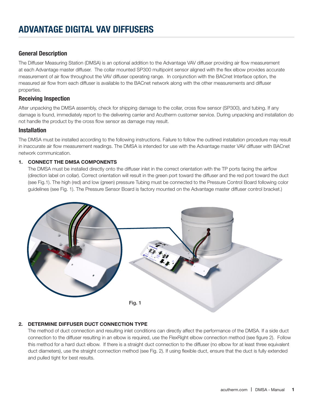## General Description

The Diffuser Measuring Station (DMSA) is an optional addition to the Advantage VAV diffuser providing air flow measurement at each Advantage master diffuser. The collar mounted SP300 multipoint sensor aligned with the flex elbow provides accurate measurement of air flow throughout the VAV diffuser operating range. In conjunction with the BACnet Interface option, the measured air flow from each diffuser is available to the BACnet network along with the other measurements and diffuser properties.

### Receiving Inspection

After unpacking the DMSA assembly, check for shipping damage to the collar, cross flow sensor (SP300), and tubing. If any damage is found, immediately report to the delivering carrier and Acutherm customer service. During unpacking and installation do not handle the product by the cross flow sensor as damage may result.

### Installation

The DMSA must be installed according to the following instructions. Failure to follow the outlined installation procedure may result in inaccurate air flow measurement readings. The DMSA is intended for use with the Advantage master VAV diffuser with BACnet network communication.

### 1. CONNECT THE DMSA COMPONENTS

The DMSA must be installed directly onto the diffuser inlet in the correct orientation with the TP ports facing the airflow (direction label on collar). Correct orientation will result in the green port toward the diffuser and the red port toward the duct (see Fig.1). The high (red) and low (green) pressure Tubing must be connected to the Pressure Control Board following color guidelines (see Fig. 1). The Pressure Sensor Board is factory mounted on the Advantage master diffuser control bracket.)



### 2. DETERMINE DIFFUSER DUCT CONNECTION TYPE

The method of duct connection and resulting inlet conditions can directly affect the performance of the DMSA. If a side duct connection to the diffuser resulting in an elbow is required, use the FlexRight elbow connection method (see figure 2). Follow this method for a hard duct elbow. If there is a straight duct connection to the diffuser (no elbow for at least three equivalent duct diameters), use the straight connection method (see Fig. 2). If using flexible duct, ensure that the duct is fully extended and pulled tight for best results.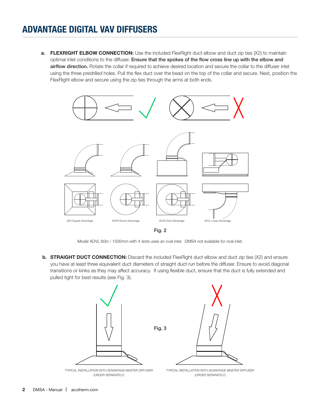a. FLEXRIGHT ELBOW CONNECTION: Use the included FlexRight duct elbow and duct zip ties (X2) to maintain optimal inlet conditions to the diffuser. Ensure that the spokes of the flow cross line up with the elbow and airflow direction. Rotate the collar if required to achieve desired location and secure the collar to the diffuser inlet using the three predrilled holes. Pull the flex duct over the bead on the top of the collar and secure. Next, position the FlexRight elbow and secure using the zip ties through the arms at both ends.



Fig. 2

Model ADVL 60in / 1500mm with 4 slots uses an oval inlet. DMSA not available for oval inlet.

**b. STRAIGHT DUCT CONNECTION:** Discard the included FlexRight duct elbow and duct zip ties (X2) and ensure you have at least three equivalent duct diameters of straight duct run before the diffuser. Ensure to avoid diagonal transitions or kinks as they may affect accuracy. If using flexible duct, ensure that the duct is fully extended and pulled tight for best results (see Fig. 3).

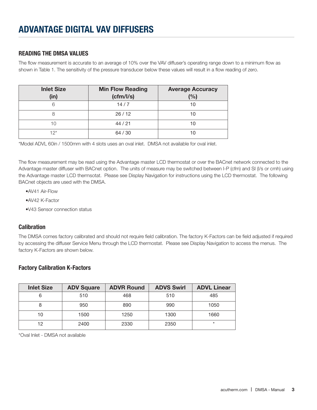## READING THE DMSA VALUES

The flow measurement is accurate to an average of 10% over the VAV diffuser's operating range down to a minimum flow as shown in Table 1. The sensitivity of the pressure transducer below these values will result in a flow reading of zero.

| <b>Inlet Size</b><br>(in) | <b>Min Flow Reading</b><br>(cfm/Is) | <b>Average Accuracy</b><br>(%) |
|---------------------------|-------------------------------------|--------------------------------|
| 6                         | 14/7                                | 10                             |
| 8                         | 26/12                               | 10                             |
| 10                        | 44/21                               | 10                             |
| $12^{*}$                  | 64/30                               | 1 C                            |

\*Model ADVL 60in / 1500mm with 4 slots uses an oval inlet. DMSA not available for oval inlet.

The flow measurement may be read using the Advantage master LCD thermostat or over the BACnet network connected to the Advantage master diffuser with BACnet option. The units of measure may be switched between I-P (cfm) and SI (l/s or cmh) using the Advantage master LCD thermsotat. Please see Display Navigation for instructions using the LCD thermostat. The following BACnet objects are used with the DMSA.

- •AV41 Air-Flow
- •AV42 K-Factor
- •V43 Sensor connection status

### Calibration

The DMSA comes factory calibrated and should not require field calibration. The factory K-Factors can be field adjusted if required by accessing the diffuser Service Menu through the LCD thermostat. Please see Display Navigation to access the menus. The factory K-Factors are shown below.

### Factory Calibration K-Factors

| <b>Inlet Size</b> | <b>ADV Square</b> | <b>ADVR Round</b> | <b>ADVS Swirl</b> | <b>ADVL Linear</b> |
|-------------------|-------------------|-------------------|-------------------|--------------------|
| 6                 | 510               | 468               | 510               | 485                |
| 8                 | 950               | 890               | 990               | 1050               |
| 10                | 1500              | 1250              | 1300              | 1660               |
| 12                | 2400              | 2330              | 2350              | $\star$            |

\*Oval Inlet - DMSA not available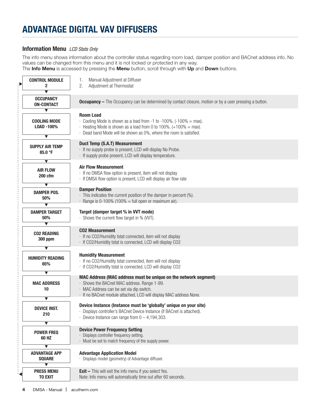## Information Menu *LCD Stats Only*

The info menu shows information about the controller status regarding room load, damper position and BACnet address info. No values can be changed from this menu and it is not locked or protected in any way. The Info Menu is accessed by pressing the Menu button, scroll through with Up and Down buttons.

| <b>CONTROL MODULE</b><br>2<br>$\overline{\textbf{v}}$       | Manual Adjustment at Diffuser<br>1.<br>2.<br>Adjustment at Thermostat                                                                                                                                  |
|-------------------------------------------------------------|--------------------------------------------------------------------------------------------------------------------------------------------------------------------------------------------------------|
| <b>OCCUPANCY</b><br><b>ON-CONTACT</b>                       | <b>Occupancy</b> – The Occupancy can be determined by contact closure, motion or by a user pressing a button.                                                                                          |
| ▼                                                           | <b>Room Load</b>                                                                                                                                                                                       |
| <b>COOLING MODE</b>                                         | Cooling Mode is shown as a load from -1 to -100%. $(-100\% = \text{max})$ .                                                                                                                            |
| LOAD -100%                                                  | $\cdot$ Heating Mode is shown as a load from 0 to 100%. (+100% = max).                                                                                                                                 |
| ▼                                                           | · Dead band Mode will be shown as 0%, where the room is satisfied.                                                                                                                                     |
| <b>SUPPLY AIR TEMP</b><br>85.0 °F                           | Duct Temp (S.A.T) Measurement<br>· If no supply probe is present, LCD will display No Probe.<br>· If supply probe present, LCD will display temperature.                                               |
| ▼                                                           | <b>Air Flow Measurement</b>                                                                                                                                                                            |
| <b>AIR FLOW</b>                                             | · If no DMSA flow option is present, item will not display                                                                                                                                             |
| 200 cfm                                                     | · If DMSA flow option is present, LCD will display air flow rate                                                                                                                                       |
| $\blacktriangledown$                                        | <b>Damper Position</b>                                                                                                                                                                                 |
| <b>DAMPER POS.</b>                                          | · This indicates the current position of the damper in percent (%).                                                                                                                                    |
| 50%                                                         | $\cdot$ Range is 0-100% (100% = full open or maximum air).                                                                                                                                             |
| ▼<br><b>DAMPER TARGET</b><br>50%<br>$\overline{\textbf{v}}$ | Target (damper target % in VVT mode)<br>· Shows the current flow target in % (VVT).                                                                                                                    |
| <b>CO2 READING</b><br><b>300 ppm</b>                        | <b>CO2 Measurement</b><br>· If no CO2/Humidity tstat connected, item will not display<br>· If CO2/Humidity tstat is connected, LCD will display CO2                                                    |
| ▼                                                           | <b>Humidity Measurement</b>                                                                                                                                                                            |
| <b>HUMIDITY READING</b>                                     | · If no CO2/Humidity tstat connected, item will not display                                                                                                                                            |
| 65%                                                         | · If CO2/Humidity tstat is connected, LCD will display CO2                                                                                                                                             |
| $\overline{\textbf{v}}$                                     | MAC Address (MAC address must be unique on the network segment)                                                                                                                                        |
| <b>MAC ADDRESS</b>                                          | · Shows the BACnet MAC address. Range 1-99.                                                                                                                                                            |
| 10                                                          | · MAC Address can be set via dip switch.                                                                                                                                                               |
| $\overline{\textbf{v}}$                                     | · If no BACnet module attached, LCD will display MAC address None.                                                                                                                                     |
| <b>DEVICE INST.</b><br>210                                  | Device Instance (Instance must be 'globally' unique on your site)<br>Displays controller's BACnet Device Instance (if BACnet is attached).<br>$\cdot$ Device Instance can range from $0 - 4,194,303$ . |
| ▼                                                           | <b>Device Power Frequency Setting</b>                                                                                                                                                                  |
| <b>POWER FREQ</b>                                           | Displays controller frequency setting.                                                                                                                                                                 |
| 60 HZ                                                       | Must be set to match frequency of the supply power.                                                                                                                                                    |
| ▼<br><b>ADVANTAGE APP</b><br><b>SQUARE</b><br>▼             | <b>Advantage Application Model</b><br>Displays model (geometry) of Advantage diffuser.                                                                                                                 |
| <b>PRESS MENU</b>                                           | <b>Exit - This will exit the info menu if you select Yes.</b>                                                                                                                                          |
| <b>TO EXIT</b>                                              | Note: Info menu will automatically time out after 60 seconds.                                                                                                                                          |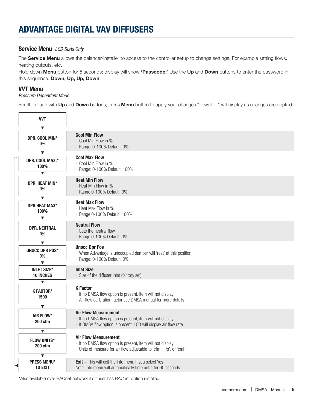### Service Menu *LCD Stats Only*

The Service Menu allows the balancer/installer to access to the controller setup to change settings. For example setting flows, heating outputs, etc.

Hold down Menu button for 5 seconds; display will show 'Passcode:' Use the Up and Down buttons to enter the password in this sequence: Down, Up, Up, Down

### VVT Menu

#### *Pressure Dependent Mode*

Scroll through with Up and Down buttons, press Menu button to apply your changes \*---wait---\* will display as changes are applied.

| <b>VVT</b>                                                    |                                                                                                                                                                   |
|---------------------------------------------------------------|-------------------------------------------------------------------------------------------------------------------------------------------------------------------|
| ▼                                                             |                                                                                                                                                                   |
| DPR. COOL MIN*<br>$0\%$                                       | <b>Cool Min Flow</b><br>· Cool Min Flow in %<br>· Range: 0-100% Default: 0%                                                                                       |
| $\overline{\textbf{v}}$                                       |                                                                                                                                                                   |
| DPR. COOL MAX.*<br>100%<br>▼                                  | <b>Cool Max Flow</b><br>· Cool Min Flow in %<br>· Range: 0-100% Default: 100%                                                                                     |
| DPR. HEAT MIN*<br>0%                                          | <b>Heat Min Flow</b><br>· Heat Min Flow in %<br>· Range 0-100% Default: 0%                                                                                        |
| $\overline{\textbf{v}}$                                       |                                                                                                                                                                   |
| <b>DPR.HEAT MAX*</b><br>100%<br>$\overline{\bm \vphantom{h}}$ | <b>Heat Max Flow</b><br>· Heat Max Flow in %<br>· Range 0-100% Default: 100%                                                                                      |
|                                                               | <b>Neutral Flow</b>                                                                                                                                               |
| <b>DPR. NEUTRAL</b><br>0%                                     | $\cdot$ Sets the neutral flow<br>· Range 0-100% Default: 0%                                                                                                       |
| ▼                                                             |                                                                                                                                                                   |
| <b>UNOCC DPR POS*</b><br>0%                                   | <b>Unocc Dpr Pos</b><br>· When Advantage is unoccupied damper will 'rest' at this position<br>· Range: 0-100% Default: 0%                                         |
| $\overline{\mathbf{v}}$                                       |                                                                                                                                                                   |
| <b>INLET SIZE*</b><br><b>10 INCHES</b>                        | <b>Inlet Size</b><br>· Size of the diffuser inlet (factory set)                                                                                                   |
| $\blacktriangledown$                                          |                                                                                                                                                                   |
| <b>K FACTOR*</b><br>1500                                      | <b>K</b> Factor<br>· If no DMSA flow option is present, item will not display<br>· Air flow calibration factor see DMSA manual for more details                   |
| $\blacktriangledown$                                          |                                                                                                                                                                   |
| AIR FLOW*<br>$200$ cfm                                        | <b>Air Flow Measurement</b><br>· If no DMSA flow option is present, item will not display<br>· If DMSA flow option is present, LCD will display air flow rate     |
| $\blacktriangledown$                                          |                                                                                                                                                                   |
| <b>FLOW UNITS*</b><br>200 cfm                                 | <b>Air Flow Measurement</b><br>· If no DMSA flow option is present, item will not display<br>· Units of measure for air flow adjustable to 'cfm', 'l/s', or 'cmh' |
| $\overline{\mathbf{v}}$                                       |                                                                                                                                                                   |
| <b>PRESS MENU*</b><br><b>TO EXIT</b>                          | <b>Exit - This will exit the info menu if you select Yes</b><br>Note: Info menu will automatically time out after 60 seconds                                      |

\*Also available over BACnet network if diffuser has BACnet option installed.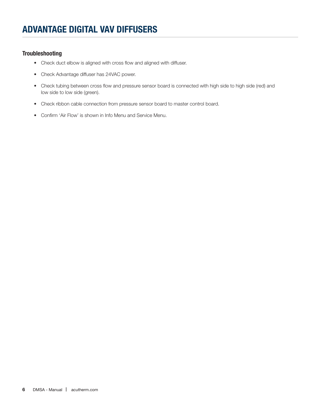### **Troubleshooting**

- Check duct elbow is aligned with cross flow and aligned with diffuser.
- Check Advantage diffuser has 24VAC power.
- Check tubing between cross flow and pressure sensor board is connected with high side to high side (red) and low side to low side (green).
- Check ribbon cable connection from pressure sensor board to master control board.
- Confirm 'Air Flow' is shown in Info Menu and Service Menu.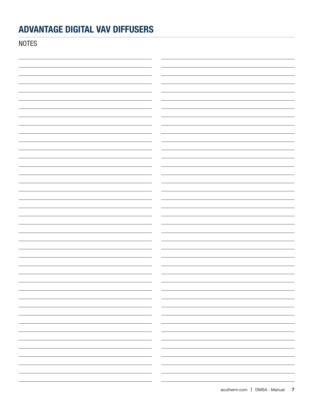**NOTES** 

| $\sim$ $\sim$                                         | -                                |
|-------------------------------------------------------|----------------------------------|
|                                                       | $ -$<br>-                        |
|                                                       |                                  |
|                                                       |                                  |
|                                                       | $ -$<br>$\overline{\phantom{0}}$ |
|                                                       |                                  |
|                                                       |                                  |
|                                                       |                                  |
|                                                       | — —<br>$\overline{\phantom{0}}$  |
| $\overline{\phantom{a}}$ and $\overline{\phantom{a}}$ | —                                |
|                                                       |                                  |
|                                                       | $\sim$ $\sim$ $\sim$ $\sim$      |
|                                                       | $ -$<br>$\overline{\phantom{0}}$ |
| $\overline{\phantom{a}}$                              | $\overline{\phantom{0}}$         |
|                                                       |                                  |